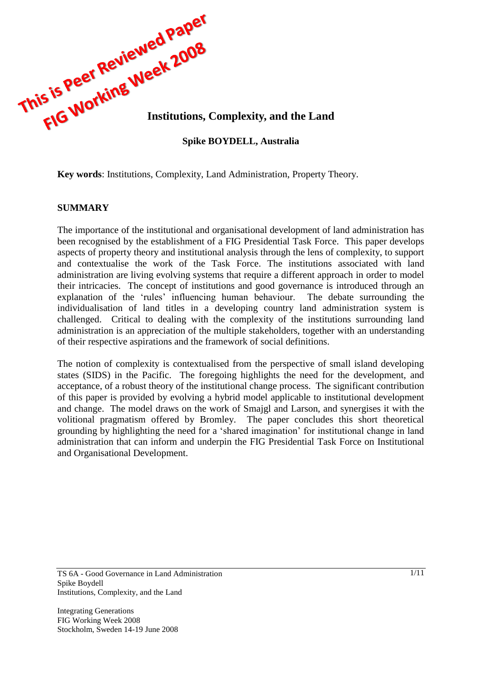

**Key words**: Institutions, Complexity, Land Administration, Property Theory.

#### **SUMMARY**

The importance of the institutional and organisational development of land administration has been recognised by the establishment of a FIG Presidential Task Force. This paper develops aspects of property theory and institutional analysis through the lens of complexity, to support and contextualise the work of the Task Force. The institutions associated with land administration are living evolving systems that require a different approach in order to model their intricacies. The concept of institutions and good governance is introduced through an explanation of the 'rules' influencing human behaviour. The debate surrounding the individualisation of land titles in a developing country land administration system is challenged. Critical to dealing with the complexity of the institutions surrounding land administration is an appreciation of the multiple stakeholders, together with an understanding of their respective aspirations and the framework of social definitions.

The notion of complexity is contextualised from the perspective of small island developing states (SIDS) in the Pacific. The foregoing highlights the need for the development, and acceptance, of a robust theory of the institutional change process. The significant contribution of this paper is provided by evolving a hybrid model applicable to institutional development and change. The model draws on the work of Smajgl and Larson, and synergises it with the volitional pragmatism offered by Bromley. The paper concludes this short theoretical grounding by highlighting the need for a "shared imagination" for institutional change in land administration that can inform and underpin the FIG Presidential Task Force on Institutional and Organisational Development.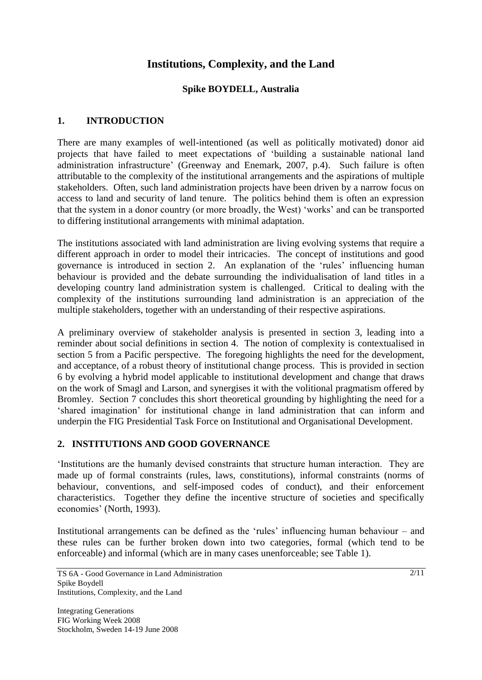# **Institutions, Complexity, and the Land**

### **Spike BOYDELL, Australia**

### **1. INTRODUCTION**

There are many examples of well-intentioned (as well as politically motivated) donor aid projects that have failed to meet expectations of "building a sustainable national land administration infrastructure" (Greenway and Enemark, 2007, p.4). Such failure is often attributable to the complexity of the institutional arrangements and the aspirations of multiple stakeholders. Often, such land administration projects have been driven by a narrow focus on access to land and security of land tenure. The politics behind them is often an expression that the system in a donor country (or more broadly, the West) "works" and can be transported to differing institutional arrangements with minimal adaptation.

The institutions associated with land administration are living evolving systems that require a different approach in order to model their intricacies. The concept of institutions and good governance is introduced in section 2. An explanation of the "rules" influencing human behaviour is provided and the debate surrounding the individualisation of land titles in a developing country land administration system is challenged. Critical to dealing with the complexity of the institutions surrounding land administration is an appreciation of the multiple stakeholders, together with an understanding of their respective aspirations.

A preliminary overview of stakeholder analysis is presented in section 3, leading into a reminder about social definitions in section 4. The notion of complexity is contextualised in section 5 from a Pacific perspective. The foregoing highlights the need for the development, and acceptance, of a robust theory of institutional change process. This is provided in section 6 by evolving a hybrid model applicable to institutional development and change that draws on the work of Smagl and Larson, and synergises it with the volitional pragmatism offered by Bromley. Section 7 concludes this short theoretical grounding by highlighting the need for a "shared imagination" for institutional change in land administration that can inform and underpin the FIG Presidential Task Force on Institutional and Organisational Development.

#### **2. INSTITUTIONS AND GOOD GOVERNANCE**

"Institutions are the humanly devised constraints that structure human interaction. They are made up of formal constraints (rules, laws, constitutions), informal constraints (norms of behaviour, conventions, and self-imposed codes of conduct), and their enforcement characteristics. Together they define the incentive structure of societies and specifically economies' (North, 1993).

Institutional arrangements can be defined as the 'rules' influencing human behaviour – and these rules can be further broken down into two categories, formal (which tend to be enforceable) and informal (which are in many cases unenforceable; see Table 1).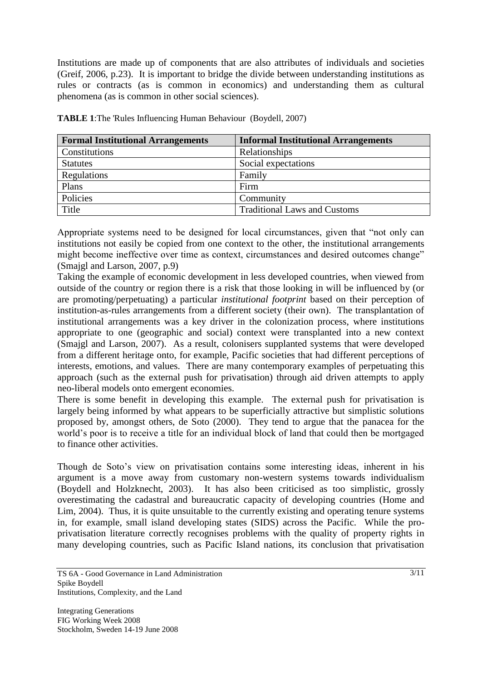Institutions are made up of components that are also attributes of individuals and societies (Greif, 2006, p.23). It is important to bridge the divide between understanding institutions as rules or contracts (as is common in economics) and understanding them as cultural phenomena (as is common in other social sciences).

| <b>Formal Institutional Arrangements</b> | <b>Informal Institutional Arrangements</b> |
|------------------------------------------|--------------------------------------------|
| Constitutions                            | Relationships                              |
| <b>Statutes</b>                          | Social expectations                        |
| Regulations                              | Family                                     |
| Plans                                    | Firm                                       |
| Policies                                 | Community                                  |
| Title                                    | <b>Traditional Laws and Customs</b>        |

**TABLE 1**:The 'Rules Influencing Human Behaviour (Boydell, 2007)

Appropriate systems need to be designed for local circumstances, given that "not only can institutions not easily be copied from one context to the other, the institutional arrangements might become ineffective over time as context, circumstances and desired outcomes change" (Smajgl and Larson, 2007, p.9)

Taking the example of economic development in less developed countries, when viewed from outside of the country or region there is a risk that those looking in will be influenced by (or are promoting/perpetuating) a particular *institutional footprint* based on their perception of institution-as-rules arrangements from a different society (their own). The transplantation of institutional arrangements was a key driver in the colonization process, where institutions appropriate to one (geographic and social) context were transplanted into a new context (Smajgl and Larson, 2007). As a result, colonisers supplanted systems that were developed from a different heritage onto, for example, Pacific societies that had different perceptions of interests, emotions, and values. There are many contemporary examples of perpetuating this approach (such as the external push for privatisation) through aid driven attempts to apply neo-liberal models onto emergent economies.

There is some benefit in developing this example. The external push for privatisation is largely being informed by what appears to be superficially attractive but simplistic solutions proposed by, amongst others, de Soto (2000). They tend to argue that the panacea for the world"s poor is to receive a title for an individual block of land that could then be mortgaged to finance other activities.

Though de Soto"s view on privatisation contains some interesting ideas, inherent in his argument is a move away from customary non-western systems towards individualism (Boydell and Holzknecht, 2003). It has also been criticised as too simplistic, grossly overestimating the cadastral and bureaucratic capacity of developing countries (Home and Lim, 2004). Thus, it is quite unsuitable to the currently existing and operating tenure systems in, for example, small island developing states (SIDS) across the Pacific. While the proprivatisation literature correctly recognises problems with the quality of property rights in many developing countries, such as Pacific Island nations, its conclusion that privatisation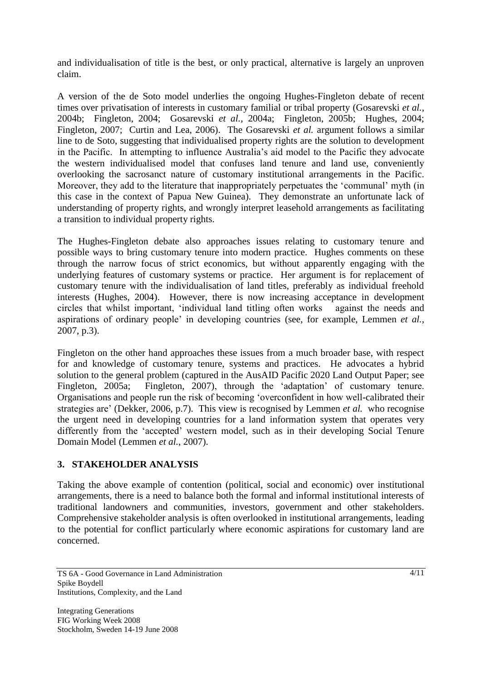and individualisation of title is the best, or only practical, alternative is largely an unproven claim.

A version of the de Soto model underlies the ongoing Hughes-Fingleton debate of recent times over privatisation of interests in customary familial or tribal property (Gosarevski *et al.*, 2004b; Fingleton, 2004; Gosarevski *et al.*, 2004a; Fingleton, 2005b; Hughes, 2004; Fingleton, 2007; Curtin and Lea, 2006). The Gosarevski *et al.* argument follows a similar line to de Soto, suggesting that individualised property rights are the solution to development in the Pacific. In attempting to influence Australia's aid model to the Pacific they advocate the western individualised model that confuses land tenure and land use, conveniently overlooking the sacrosanct nature of customary institutional arrangements in the Pacific. Moreover, they add to the literature that inappropriately perpetuates the "communal" myth (in this case in the context of Papua New Guinea). They demonstrate an unfortunate lack of understanding of property rights, and wrongly interpret leasehold arrangements as facilitating a transition to individual property rights.

The Hughes-Fingleton debate also approaches issues relating to customary tenure and possible ways to bring customary tenure into modern practice. Hughes comments on these through the narrow focus of strict economics, but without apparently engaging with the underlying features of customary systems or practice. Her argument is for replacement of customary tenure with the individualisation of land titles, preferably as individual freehold interests (Hughes, 2004). However, there is now increasing acceptance in development circles that whilst important, "individual land titling often works against the needs and aspirations of ordinary people" in developing countries (see, for example, Lemmen *et al.*, 2007, p.3).

Fingleton on the other hand approaches these issues from a much broader base, with respect for and knowledge of customary tenure, systems and practices. He advocates a hybrid solution to the general problem (captured in the AusAID Pacific 2020 Land Output Paper; see Fingleton, 2005a; Fingleton, 2007), through the 'adaptation' of customary tenure. Organisations and people run the risk of becoming "overconfident in how well-calibrated their strategies are' (Dekker, 2006, p.7). This view is recognised by Lemmen *et al.* who recognise the urgent need in developing countries for a land information system that operates very differently from the "accepted" western model, such as in their developing Social Tenure Domain Model (Lemmen *et al.*, 2007).

# **3. STAKEHOLDER ANALYSIS**

Taking the above example of contention (political, social and economic) over institutional arrangements, there is a need to balance both the formal and informal institutional interests of traditional landowners and communities, investors, government and other stakeholders. Comprehensive stakeholder analysis is often overlooked in institutional arrangements, leading to the potential for conflict particularly where economic aspirations for customary land are concerned.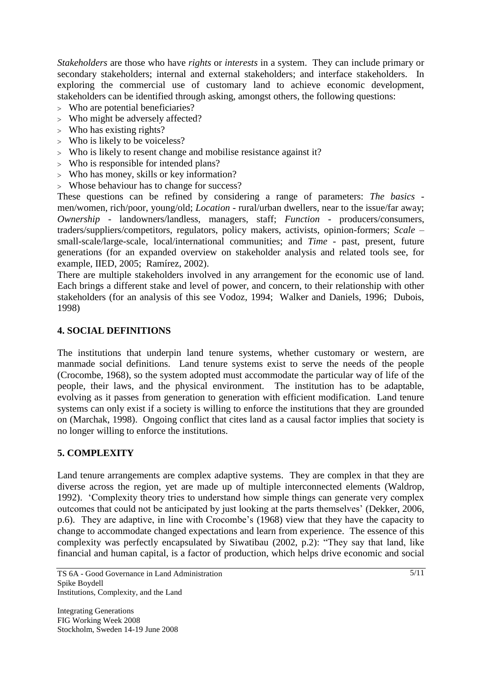*Stakeholders* are those who have *rights* or *interests* in a system. They can include primary or secondary stakeholders; internal and external stakeholders; and interface stakeholders. In exploring the commercial use of customary land to achieve economic development, stakeholders can be identified through asking, amongst others, the following questions:

- Who are potential beneficiaries?
- Who might be adversely affected?
- > Who has existing rights?
- Who is likely to be voiceless?
- Who is likely to resent change and mobilise resistance against it?
- Who is responsible for intended plans?
- Who has money, skills or key information?
- Whose behaviour has to change for success?

These questions can be refined by considering a range of parameters: *The basics*  men/women, rich/poor, young/old; *Location* - rural/urban dwellers, near to the issue/far away; *Ownership* - landowners/landless, managers, staff; *Function* - producers/consumers, traders/suppliers/competitors, regulators, policy makers, activists, opinion-formers; *Scale* – small-scale/large-scale, local/international communities; and *Time* - past, present, future generations (for an expanded overview on stakeholder analysis and related tools see, for example, IIED, 2005; Ramírez, 2002).

There are multiple stakeholders involved in any arrangement for the economic use of land. Each brings a different stake and level of power, and concern, to their relationship with other stakeholders (for an analysis of this see Vodoz, 1994; Walker and Daniels, 1996; Dubois, 1998)

#### **4. SOCIAL DEFINITIONS**

The institutions that underpin land tenure systems, whether customary or western, are manmade social definitions. Land tenure systems exist to serve the needs of the people (Crocombe, 1968), so the system adopted must accommodate the particular way of life of the people, their laws, and the physical environment. The institution has to be adaptable, evolving as it passes from generation to generation with efficient modification. Land tenure systems can only exist if a society is willing to enforce the institutions that they are grounded on (Marchak, 1998). Ongoing conflict that cites land as a causal factor implies that society is no longer willing to enforce the institutions.

#### **5. COMPLEXITY**

Land tenure arrangements are complex adaptive systems. They are complex in that they are diverse across the region, yet are made up of multiple interconnected elements (Waldrop, 1992). "Complexity theory tries to understand how simple things can generate very complex outcomes that could not be anticipated by just looking at the parts themselves" (Dekker, 2006, p.6). They are adaptive, in line with Crocombe"s (1968) view that they have the capacity to change to accommodate changed expectations and learn from experience. The essence of this complexity was perfectly encapsulated by Siwatibau (2002, p.2): "They say that land, like financial and human capital, is a factor of production, which helps drive economic and social

TS 6A - Good Governance in Land Administration Spike Boydell Institutions, Complexity, and the Land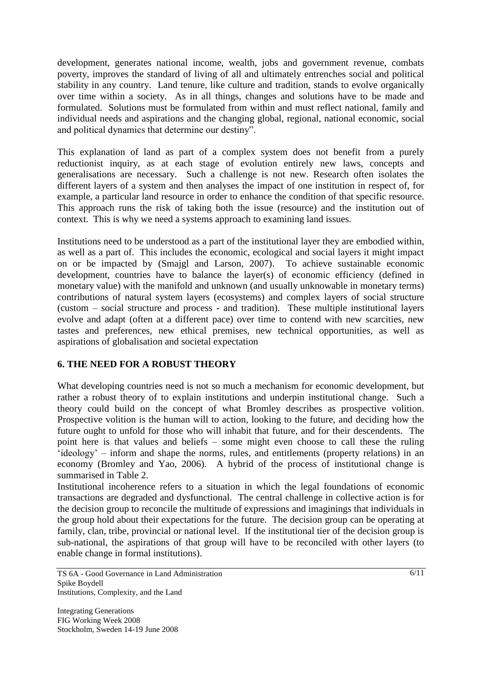development, generates national income, wealth, jobs and government revenue, combats poverty, improves the standard of living of all and ultimately entrenches social and political stability in any country. Land tenure, like culture and tradition, stands to evolve organically over time within a society. As in all things, changes and solutions have to be made and formulated. Solutions must be formulated from within and must reflect national, family and individual needs and aspirations and the changing global, regional, national economic, social and political dynamics that determine our destiny".

This explanation of land as part of a complex system does not benefit from a purely reductionist inquiry, as at each stage of evolution entirely new laws, concepts and generalisations are necessary. Such a challenge is not new. Research often isolates the different layers of a system and then analyses the impact of one institution in respect of, for example, a particular land resource in order to enhance the condition of that specific resource. This approach runs the risk of taking both the issue (resource) and the institution out of context. This is why we need a systems approach to examining land issues.

Institutions need to be understood as a part of the institutional layer they are embodied within, as well as a part of. This includes the economic, ecological and social layers it might impact on or be impacted by (Smajgl and Larson, 2007). To achieve sustainable economic development, countries have to balance the layer(s) of economic efficiency (defined in monetary value) with the manifold and unknown (and usually unknowable in monetary terms) contributions of natural system layers (ecosystems) and complex layers of social structure (custom – social structure and process - and tradition). These multiple institutional layers evolve and adapt (often at a different pace) over time to contend with new scarcities, new tastes and preferences, new ethical premises, new technical opportunities, as well as aspirations of globalisation and societal expectation

# **6. THE NEED FOR A ROBUST THEORY**

What developing countries need is not so much a mechanism for economic development, but rather a robust theory of to explain institutions and underpin institutional change. Such a theory could build on the concept of what Bromley describes as prospective volition. Prospective volition is the human will to action, looking to the future, and deciding how the future ought to unfold for those who will inhabit that future, and for their descendents. The point here is that values and beliefs – some might even choose to call these the ruling 'ideology' – inform and shape the norms, rules, and entitlements (property relations) in an economy (Bromley and Yao, 2006). A hybrid of the process of institutional change is summarised in Table 2.

Institutional incoherence refers to a situation in which the legal foundations of economic transactions are degraded and dysfunctional. The central challenge in collective action is for the decision group to reconcile the multitude of expressions and imaginings that individuals in the group hold about their expectations for the future. The decision group can be operating at family, clan, tribe, provincial or national level. If the institutional tier of the decision group is sub-national, the aspirations of that group will have to be reconciled with other layers (to enable change in formal institutions).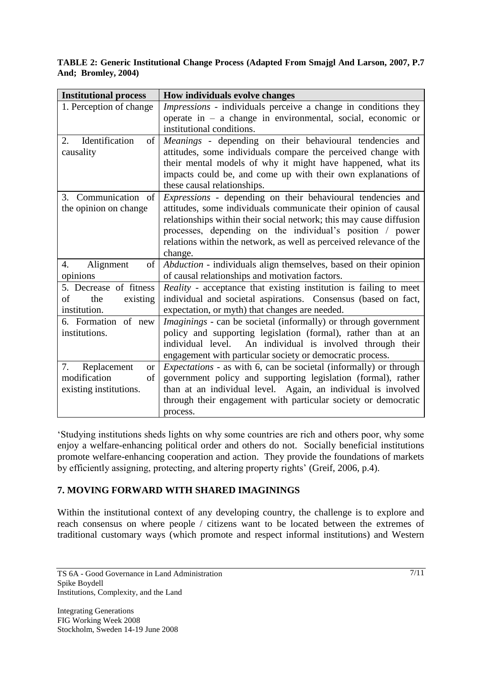#### **TABLE 2: Generic Institutional Change Process (Adapted From Smajgl And Larson, 2007, P.7 And; Bromley, 2004)**

| <b>Institutional process</b>   | How individuals evolve changes                                           |
|--------------------------------|--------------------------------------------------------------------------|
| 1. Perception of change        | Impressions - individuals perceive a change in conditions they           |
|                                | operate in $-$ a change in environmental, social, economic or            |
|                                | institutional conditions.                                                |
| Identification<br>2.<br>of     | Meanings - depending on their behavioural tendencies and                 |
| causality                      | attitudes, some individuals compare the perceived change with            |
|                                | their mental models of why it might have happened, what its              |
|                                | impacts could be, and come up with their own explanations of             |
|                                | these causal relationships.                                              |
| Communication of<br>3.         | Expressions - depending on their behavioural tendencies and              |
| the opinion on change          | attitudes, some individuals communicate their opinion of causal          |
|                                | relationships within their social network; this may cause diffusion      |
|                                | processes, depending on the individual's position / power                |
|                                | relations within the network, as well as perceived relevance of the      |
|                                | change.                                                                  |
| Alignment<br>of<br>4.          | Abduction - individuals align themselves, based on their opinion         |
| opinions                       | of causal relationships and motivation factors.                          |
| 5. Decrease of fitness         | <i>Reality</i> - acceptance that existing institution is failing to meet |
| existing<br>οf<br>the          | individual and societal aspirations. Consensus (based on fact,           |
| institution.                   | expectation, or myth) that changes are needed.                           |
| 6. Formation of new            | <i>Imaginings</i> - can be societal (informally) or through government   |
| institutions.                  | policy and supporting legislation (formal), rather than at an            |
|                                | An individual is involved through their<br>individual level.             |
|                                | engagement with particular society or democratic process.                |
| 7.<br>Replacement<br><b>or</b> | <i>Expectations</i> - as with 6, can be societal (informally) or through |
| modification<br>of             | government policy and supporting legislation (formal), rather            |
| existing institutions.         | than at an individual level. Again, an individual is involved            |
|                                | through their engagement with particular society or democratic           |
|                                | process.                                                                 |

"Studying institutions sheds lights on why some countries are rich and others poor, why some enjoy a welfare-enhancing political order and others do not. Socially beneficial institutions promote welfare-enhancing cooperation and action. They provide the foundations of markets by efficiently assigning, protecting, and altering property rights' (Greif, 2006, p.4).

# **7. MOVING FORWARD WITH SHARED IMAGININGS**

Within the institutional context of any developing country, the challenge is to explore and reach consensus on where people / citizens want to be located between the extremes of traditional customary ways (which promote and respect informal institutions) and Western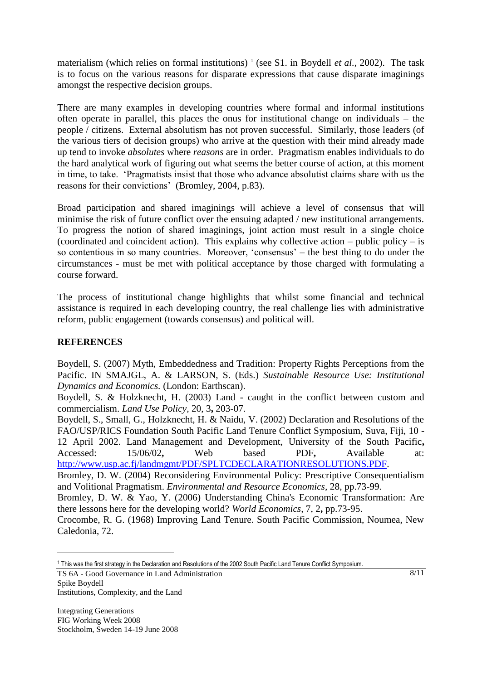materialism (which relies on formal institutions)<sup>1</sup> (see S1. in Boydell *et al.*, 2002). The task is to focus on the various reasons for disparate expressions that cause disparate imaginings amongst the respective decision groups.

There are many examples in developing countries where formal and informal institutions often operate in parallel, this places the onus for institutional change on individuals – the people / citizens. External absolutism has not proven successful. Similarly, those leaders (of the various tiers of decision groups) who arrive at the question with their mind already made up tend to invoke *absolutes* where *reasons* are in order. Pragmatism enables individuals to do the hard analytical work of figuring out what seems the better course of action, at this moment in time, to take. "Pragmatists insist that those who advance absolutist claims share with us the reasons for their convictions' (Bromley, 2004, p.83).

Broad participation and shared imaginings will achieve a level of consensus that will minimise the risk of future conflict over the ensuing adapted / new institutional arrangements. To progress the notion of shared imaginings, joint action must result in a single choice (coordinated and coincident action). This explains why collective action – public policy – is so contentious in so many countries. Moreover, "consensus" – the best thing to do under the circumstances - must be met with political acceptance by those charged with formulating a course forward.

The process of institutional change highlights that whilst some financial and technical assistance is required in each developing country, the real challenge lies with administrative reform, public engagement (towards consensus) and political will.

### **REFERENCES**

Boydell, S. (2007) Myth, Embeddedness and Tradition: Property Rights Perceptions from the Pacific. IN SMAJGL, A. & LARSON, S. (Eds.) *Sustainable Resource Use: Institutional Dynamics and Economics.* (London: Earthscan).

Boydell, S. & Holzknecht, H. (2003) Land - caught in the conflict between custom and commercialism. *Land Use Policy,* 20, 3**,** 203-07.

Boydell, S., Small, G., Holzknecht, H. & Naidu, V. (2002) Declaration and Resolutions of the FAO/USP/RICS Foundation South Pacific Land Tenure Conflict Symposium, Suva, Fiji, 10 - 12 April 2002. Land Management and Development, University of the South Pacific**,** Accessed: 15/06/02**,** Web based PDF**,** Available at:

[http://www.usp.ac.fj/landmgmt/PDF/SPLTCDECLARATIONRESOLUTIONS.PDF.](http://www.usp.ac.fj/landmgmt/PDF/SPLTCDECLARATIONRESOLUTIONS.PDF)

Bromley, D. W. (2004) Reconsidering Environmental Policy: Prescriptive Consequentialism and Volitional Pragmatism. *Environmental and Resource Economics,* 28, pp.73-99.

Bromley, D. W. & Yao, Y. (2006) Understanding China's Economic Transformation: Are there lessons here for the developing world? *World Economics,* 7, 2**,** pp.73-95.

Crocombe, R. G. (1968) Improving Land Tenure. South Pacific Commission, Noumea, New Caledonia, 72.

TS 6A - Good Governance in Land Administration Spike Boydell Institutions, Complexity, and the Land

 $\overline{\phantom{a}}$ 

<sup>&</sup>lt;sup>1</sup> This was the first strategy in the Declaration and Resolutions of the 2002 South Pacific Land Tenure Conflict Symposium.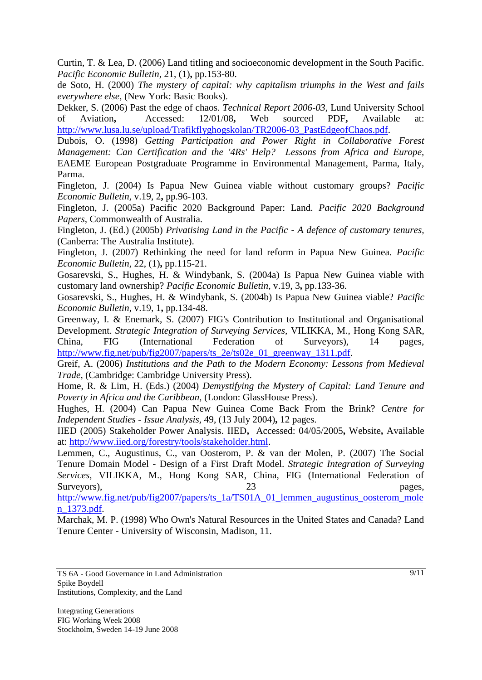Curtin, T. & Lea, D. (2006) Land titling and socioeconomic development in the South Pacific. *Pacific Economic Bulletin,* 21, (1)**,** pp.153-80.

de Soto, H. (2000) *The mystery of capital: why capitalism triumphs in the West and fails everywhere else,* (New York: Basic Books).

Dekker, S. (2006) Past the edge of chaos. *Technical Report 2006-03,* Lund University School of Aviation**,** Accessed: 12/01/08**,** Web sourced PDF**,** Available at: [http://www.lusa.lu.se/upload/Trafikflyghogskolan/TR2006-03\\_PastEdgeofChaos.pdf.](http://www.lusa.lu.se/upload/Trafikflyghogskolan/TR2006-03_PastEdgeofChaos.pdf)

Dubois, O. (1998) *Getting Participation and Power Right in Collaborative Forest Management: Can Certification and the '4Rs' Help? Lessons from Africa and Europe,* EAEME European Postgraduate Programme in Environmental Management, Parma, Italy, Parma.

Fingleton, J. (2004) Is Papua New Guinea viable without customary groups? *Pacific Economic Bulletin,* v.19, 2**,** pp.96-103.

Fingleton, J. (2005a) Pacific 2020 Background Paper: Land. *Pacific 2020 Background Papers,* Commonwealth of Australia.

Fingleton, J. (Ed.) (2005b) *Privatising Land in the Pacific - A defence of customary tenures,*  (Canberra: The Australia Institute).

Fingleton, J. (2007) Rethinking the need for land reform in Papua New Guinea. *Pacific Economic Bulletin,* 22, (1)**,** pp.115-21.

Gosarevski, S., Hughes, H. & Windybank, S. (2004a) Is Papua New Guinea viable with customary land ownership? *Pacific Economic Bulletin,* v.19, 3**,** pp.133-36.

Gosarevski, S., Hughes, H. & Windybank, S. (2004b) Is Papua New Guinea viable? *Pacific Economic Bulletin,* v.19, 1**,** pp.134-48.

Greenway, I. & Enemark, S. (2007) FIG's Contribution to Institutional and Organisational Development. *Strategic Integration of Surveying Services,* VILIKKA, M., Hong Kong SAR, China, FIG (International Federation of Surveyors), 14 pages, [http://www.fig.net/pub/fig2007/papers/ts\\_2e/ts02e\\_01\\_greenway\\_1311.pdf.](http://www.fig.net/pub/fig2007/papers/ts_2e/ts02e_01_greenway_1311.pdf)

Greif, A. (2006) *Institutions and the Path to the Modern Economy: Lessons from Medieval Trade,* (Cambridge: Cambridge University Press).

Home, R. & Lim, H. (Eds.) (2004) *Demystifying the Mystery of Capital: Land Tenure and Poverty in Africa and the Caribbean,* (London: GlassHouse Press).

Hughes, H. (2004) Can Papua New Guinea Come Back From the Brink? *Centre for Independent Studies - Issue Analysis,* 49, (13 July 2004)**,** 12 pages.

IIED (2005) Stakeholder Power Analysis. IIED**,** Accessed: 04/05/2005**,** Website**,** Available at: [http://www.iied.org/forestry/tools/stakeholder.html.](http://www.iied.org/forestry/tools/stakeholder.html)

Lemmen, C., Augustinus, C., van Oosterom, P. & van der Molen, P. (2007) The Social Tenure Domain Model - Design of a First Draft Model. *Strategic Integration of Surveying Services,* VILIKKA, M., Hong Kong SAR, China, FIG (International Federation of Surveyors), 23 pages, 23

[http://www.fig.net/pub/fig2007/papers/ts\\_1a/TS01A\\_01\\_lemmen\\_augustinus\\_oosterom\\_mole](http://www.fig.net/pub/fig2007/papers/ts_1a/TS01A_01_lemmen_augustinus_oosterom_molen_1373.pdf) [n\\_1373.pdf.](http://www.fig.net/pub/fig2007/papers/ts_1a/TS01A_01_lemmen_augustinus_oosterom_molen_1373.pdf)

Marchak, M. P. (1998) Who Own's Natural Resources in the United States and Canada? Land Tenure Center - University of Wisconsin, Madison, 11.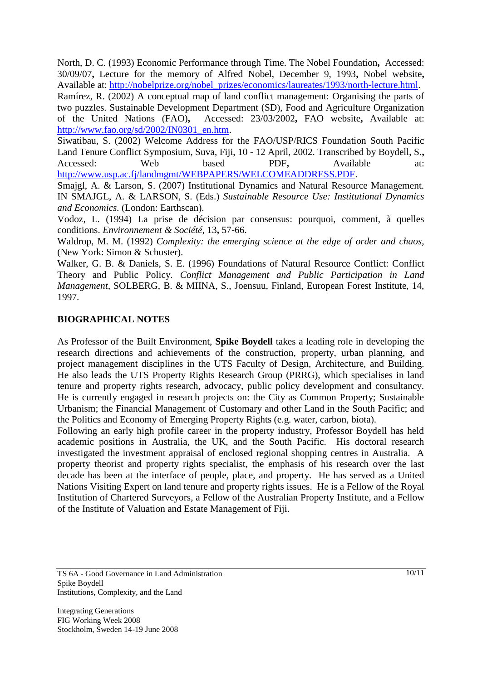North, D. C. (1993) Economic Performance through Time. The Nobel Foundation**,** Accessed: 30/09/07**,** Lecture for the memory of Alfred Nobel, December 9, 1993**,** Nobel website**,** Available at: [http://nobelprize.org/nobel\\_prizes/economics/laureates/1993/north-lecture.html.](http://nobelprize.org/nobel_prizes/economics/laureates/1993/north-lecture.html) Ramírez, R. (2002) A conceptual map of land conflict management: Organising the parts of two puzzles. Sustainable Development Department (SD), Food and Agriculture Organization of the United Nations (FAO)**,** Accessed: 23/03/2002**,** FAO website**,** Available at: [http://www.fao.org/sd/2002/IN0301\\_en.htm.](http://www.fao.org/sd/2002/IN0301_en.htm)

Siwatibau, S. (2002) Welcome Address for the FAO/USP/RICS Foundation South Pacific Land Tenure Conflict Symposium, Suva, Fiji, 10 - 12 April, 2002. Transcribed by Boydell, S.**,** Accessed: Web based PDF, Available at: [http://www.usp.ac.fj/landmgmt/WEBPAPERS/WELCOMEADDRESS.PDF.](http://www.usp.ac.fj/landmgmt/WEBPAPERS/WELCOMEADDRESS.PDF)

Smajgl, A. & Larson, S. (2007) Institutional Dynamics and Natural Resource Management. IN SMAJGL, A. & LARSON, S. (Eds.) *Sustainable Resource Use: Institutional Dynamics and Economics.* (London: Earthscan).

Vodoz, L. (1994) La prise de décision par consensus: pourquoi, comment, à quelles conditions. *Environnement & Société,* 13**,** 57-66.

Waldrop, M. M. (1992) *Complexity: the emerging science at the edge of order and chaos,*  (New York: Simon & Schuster).

Walker, G. B. & Daniels, S. E. (1996) Foundations of Natural Resource Conflict: Conflict Theory and Public Policy. *Conflict Management and Public Participation in Land Management,* SOLBERG, B. & MIINA, S., Joensuu, Finland, European Forest Institute, 14, 1997.

#### **BIOGRAPHICAL NOTES**

As Professor of the Built Environment, **Spike Boydell** takes a leading role in developing the research directions and achievements of the construction, property, urban planning, and project management disciplines in the UTS Faculty of Design, Architecture, and Building. He also leads the UTS Property Rights Research Group (PRRG), which specialises in land tenure and property rights research, advocacy, public policy development and consultancy. He is currently engaged in research projects on: the City as Common Property; Sustainable Urbanism; the Financial Management of Customary and other Land in the South Pacific; and the Politics and Economy of Emerging Property Rights (e.g. water, carbon, biota).

Following an early high profile career in the property industry, Professor Boydell has held academic positions in Australia, the UK, and the South Pacific. His doctoral research investigated the investment appraisal of enclosed regional shopping centres in Australia. A property theorist and property rights specialist, the emphasis of his research over the last decade has been at the interface of people, place, and property. He has served as a United Nations Visiting Expert on land tenure and property rights issues. He is a Fellow of the Royal Institution of Chartered Surveyors, a Fellow of the Australian Property Institute, and a Fellow of the Institute of Valuation and Estate Management of Fiji.